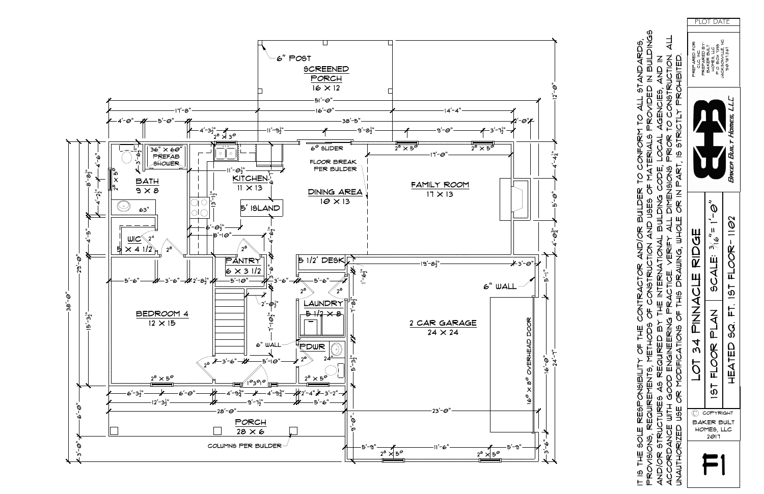

IT IS THE SOLE RESPONSIBILITY OF THE CONTRACTOR AND/OR BUILDER TO CONFORM TO ALL STANDARDS,

OF THE O

RESPONSIBILITY

**SOLE** 

HHE

 $\overline{\varpi}$  $\pm$ 

|   |                                           | PROVISIONS, REQUIREMTS, METHODS OF CONSTRUCTION AND USES OF MATERIALS PROVIDED IN BUILDINGS                                                                                                                                                                                                                   |                                       |                                                              |  |
|---|-------------------------------------------|---------------------------------------------------------------------------------------------------------------------------------------------------------------------------------------------------------------------------------------------------------------------------------------------------------------|---------------------------------------|--------------------------------------------------------------|--|
|   |                                           | AND/OR STRUCTURES AS REQUIRED BY THE INTERNATIONAL B                                                                                                                                                                                                                                                          | BUILDING CODE, LOCAL AGENCIES, AND IN |                                                              |  |
|   |                                           | ACCORDANCE WITH GOOD ENGINEERING PRACTICE. VERIFY ALL DIMENSIONS PRIOR TO CONSTRUCTION. ALL                                                                                                                                                                                                                   |                                       |                                                              |  |
|   |                                           | UNAUTHORIZED USE OR MODIFICATIONS OF THIS DRAWNG, WHOLE OR IN PART, IS STRICTLY PROHIBITED.                                                                                                                                                                                                                   |                                       |                                                              |  |
|   |                                           | LOT 34 PINNACLE RIDGE                                                                                                                                                                                                                                                                                         |                                       | PREPARED FOR:<br>PREPARED BY:<br>טב ואפ                      |  |
| F | C COM<br>BAKER BUIL<br>HOMES, LLC<br>2011 | $\begin{array}{ c c c c c }\hline\hline \frac{\alpha}{\pi} & \text{IST}\ \hline \frac{\pi}{\pi} & \text{HLOOR} & \text{PLAN} & \text{SCALE: } \frac{\beta}{\pi} & \frac{\pi}{\pi} & \frac{1-\Theta''}{\pi}\\ \hline \frac{\pi}{\pi} & \text{HEATED} & \text{SQ} & \text{FT} & \text{IST}\ \hline \end{array}$ |                                       | JACKSONVILLE, NC<br>P.O. BOX 1395<br>BAKER BULT<br>HOLES TTC |  |
|   | <b>BUILT</b>                              | HEATED SQ. FT. 19T FLOOR-1102                                                                                                                                                                                                                                                                                 | Bakea Built Homes, LLC                | 900.787.2167                                                 |  |